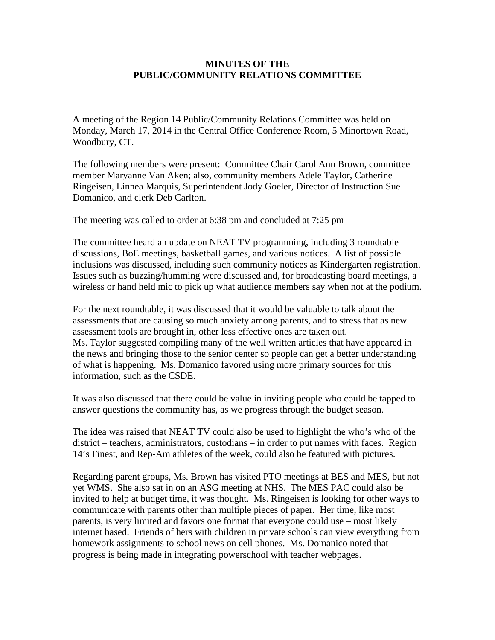## **MINUTES OF THE PUBLIC/COMMUNITY RELATIONS COMMITTEE**

A meeting of the Region 14 Public/Community Relations Committee was held on Monday, March 17, 2014 in the Central Office Conference Room, 5 Minortown Road, Woodbury, CT.

The following members were present: Committee Chair Carol Ann Brown, committee member Maryanne Van Aken; also, community members Adele Taylor, Catherine Ringeisen, Linnea Marquis, Superintendent Jody Goeler, Director of Instruction Sue Domanico, and clerk Deb Carlton.

The meeting was called to order at 6:38 pm and concluded at 7:25 pm

The committee heard an update on NEAT TV programming, including 3 roundtable discussions, BoE meetings, basketball games, and various notices. A list of possible inclusions was discussed, including such community notices as Kindergarten registration. Issues such as buzzing/humming were discussed and, for broadcasting board meetings, a wireless or hand held mic to pick up what audience members say when not at the podium.

For the next roundtable, it was discussed that it would be valuable to talk about the assessments that are causing so much anxiety among parents, and to stress that as new assessment tools are brought in, other less effective ones are taken out. Ms. Taylor suggested compiling many of the well written articles that have appeared in the news and bringing those to the senior center so people can get a better understanding of what is happening. Ms. Domanico favored using more primary sources for this information, such as the CSDE.

It was also discussed that there could be value in inviting people who could be tapped to answer questions the community has, as we progress through the budget season.

The idea was raised that NEAT TV could also be used to highlight the who's who of the district – teachers, administrators, custodians – in order to put names with faces. Region 14's Finest, and Rep-Am athletes of the week, could also be featured with pictures.

Regarding parent groups, Ms. Brown has visited PTO meetings at BES and MES, but not yet WMS. She also sat in on an ASG meeting at NHS. The MES PAC could also be invited to help at budget time, it was thought. Ms. Ringeisen is looking for other ways to communicate with parents other than multiple pieces of paper. Her time, like most parents, is very limited and favors one format that everyone could use – most likely internet based. Friends of hers with children in private schools can view everything from homework assignments to school news on cell phones. Ms. Domanico noted that progress is being made in integrating powerschool with teacher webpages.